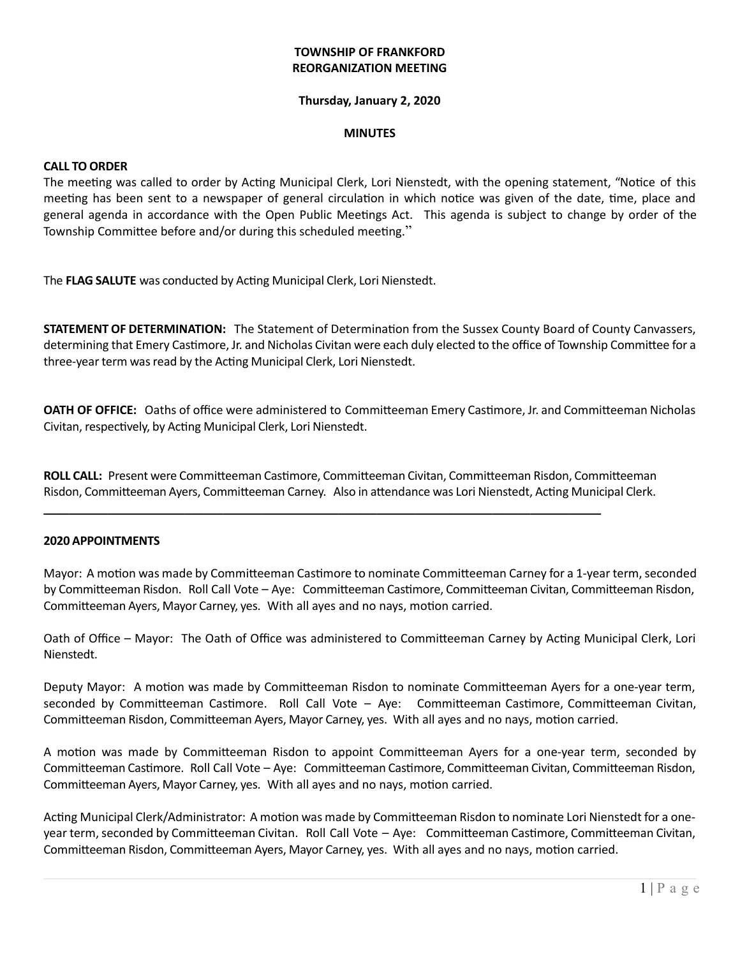## **TOWNSHIP OF FRANKFORD REORGANIZATION MEETING**

#### **Thursday, January 2, 2020**

#### **MINUTES**

#### **CALL TO ORDER**

The meeting was called to order by Acting Municipal Clerk, Lori Nienstedt, with the opening statement, "Notice of this meeting has been sent to a newspaper of general circulation in which notice was given of the date, time, place and general agenda in accordance with the Open Public Meetings Act. This agenda is subject to change by order of the Township Committee before and/or during this scheduled meeting."

The **FLAG SALUTE** was conducted by Acting Municipal Clerk, Lori Nienstedt.

**STATEMENT OF DETERMINATION:** The Statement of Determination from the Sussex County Board of County Canvassers, determining that Emery Castimore, Jr. and Nicholas Civitan were each duly elected to the office of Township Committee for a three-year term was read by the Acting Municipal Clerk, Lori Nienstedt.

**OATH OF OFFICE:** Oaths of office were administered to Committeeman Emery Castimore, Jr. and Committeeman Nicholas Civitan, respectively, by Acting Municipal Clerk, Lori Nienstedt.

**ROLL CALL:** Present were Committeeman Castimore, Committeeman Civitan, Committeeman Risdon, Committeeman Risdon, Committeeman Ayers, Committeeman Carney.Also in attendance was Lori Nienstedt, Acting Municipal Clerk.

**\_\_\_\_\_\_\_\_\_\_\_\_\_\_\_\_\_\_\_\_\_\_\_\_\_\_\_\_\_\_\_\_\_\_\_\_\_\_\_\_\_\_\_\_\_\_\_\_\_\_\_\_\_\_\_\_\_\_\_\_\_\_\_\_\_\_\_\_\_\_\_\_\_\_\_\_\_\_\_\_\_\_\_\_\_\_\_**

#### **2020 APPOINTMENTS**

Mayor: A motion was made by Committeeman Castimore to nominate Committeeman Carney for a 1-year term, seconded by Committeeman Risdon. Roll Call Vote – Aye: Committeeman Castimore, Committeeman Civitan, Committeeman Risdon, Committeeman Ayers, Mayor Carney, yes. With all ayes and no nays, motion carried.

Oath of Office – Mayor: The Oath of Office was administered to Committeeman Carney by Acting Municipal Clerk, Lori Nienstedt.

Deputy Mayor: A motion was made by Committeeman Risdon to nominate Committeeman Ayers for a one-year term, seconded by Committeeman Castimore. Roll Call Vote – Aye: Committeeman Castimore, Committeeman Civitan, Committeeman Risdon, Committeeman Ayers, Mayor Carney, yes. With all ayes and no nays, motion carried.

A motion was made by Committeeman Risdon to appoint Committeeman Ayers for a one-year term, seconded by Committeeman Castimore. Roll Call Vote – Aye: Committeeman Castimore, Committeeman Civitan, Committeeman Risdon, Committeeman Ayers, Mayor Carney, yes. With all ayes and no nays, motion carried.

Acting Municipal Clerk/Administrator: A motion was made by Committeeman Risdon to nominate Lori Nienstedt for a oneyear term, seconded by Committeeman Civitan. Roll Call Vote – Aye: Committeeman Castimore, Committeeman Civitan, Committeeman Risdon, Committeeman Ayers, Mayor Carney, yes. With all ayes and no nays, motion carried.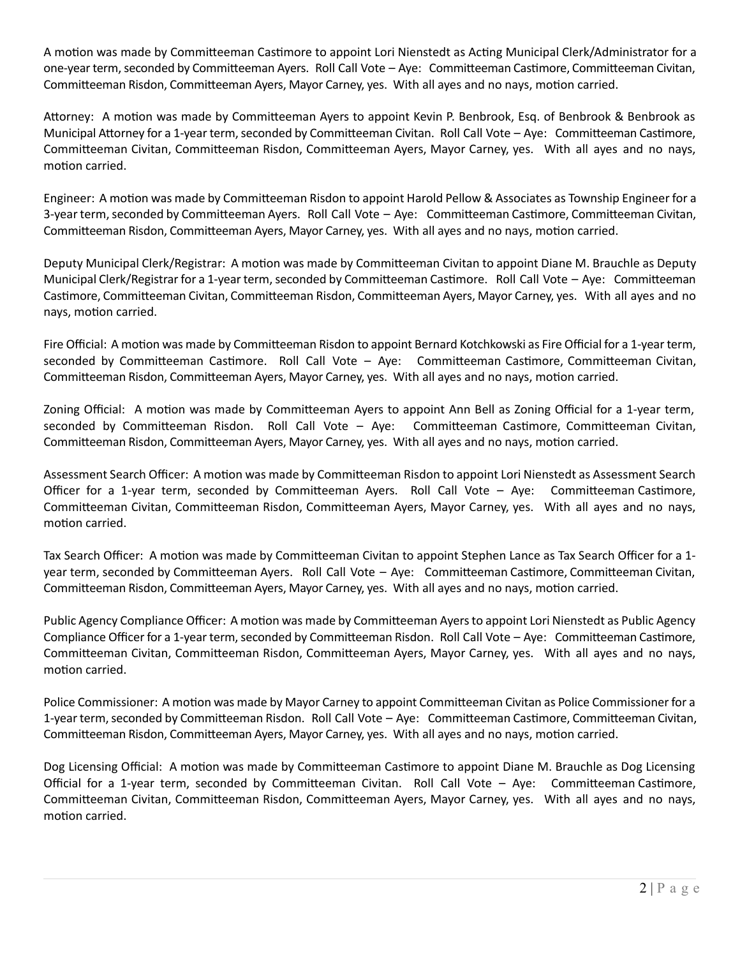A motion was made by Committeeman Castimore to appoint Lori Nienstedt as Acting Municipal Clerk/Administrator for a one-year term, seconded by Committeeman Ayers. Roll Call Vote – Aye: Committeeman Castimore, Committeeman Civitan, Committeeman Risdon, Committeeman Ayers, Mayor Carney, yes. With all ayes and no nays, motion carried.

Attorney: A motion was made by Committeeman Ayers to appoint Kevin P. Benbrook, Esq. of Benbrook & Benbrook as Municipal Attorney for a 1-year term, seconded by Committeeman Civitan. Roll Call Vote – Aye: Committeeman Castimore, Committeeman Civitan, Committeeman Risdon, Committeeman Ayers, Mayor Carney, yes. With all ayes and no nays, motion carried.

Engineer: A motion was made by Committeeman Risdon to appoint Harold Pellow & Associates as Township Engineer for a 3-year term, seconded by Committeeman Ayers. Roll Call Vote – Aye: Committeeman Castimore, Committeeman Civitan, Committeeman Risdon, Committeeman Ayers, Mayor Carney, yes. With all ayes and no nays, motion carried.

Deputy Municipal Clerk/Registrar: A motion was made by Committeeman Civitan to appoint Diane M. Brauchle as Deputy Municipal Clerk/Registrar for a 1-year term, seconded by Committeeman Castimore. Roll Call Vote – Aye: Committeeman Castimore, Committeeman Civitan, Committeeman Risdon, Committeeman Ayers, Mayor Carney, yes. With all ayes and no nays, motion carried.

Fire Official: A motion was made by Committeeman Risdon to appoint Bernard Kotchkowski as Fire Official for a 1-year term, seconded by Committeeman Castimore. Roll Call Vote – Aye: Committeeman Castimore, Committeeman Civitan, Committeeman Risdon, Committeeman Ayers, Mayor Carney, yes. With all ayes and no nays, motion carried.

Zoning Official: A motion was made by Committeeman Ayers to appoint Ann Bell as Zoning Official for a 1-year term, seconded by Committeeman Risdon. Roll Call Vote – Aye: Committeeman Castimore, Committeeman Civitan, Committeeman Risdon, Committeeman Ayers, Mayor Carney, yes. With all ayes and no nays, motion carried.

Assessment Search Officer: A motion was made by Committeeman Risdon to appoint Lori Nienstedt as Assessment Search Officer for a 1-year term, seconded by Committeeman Ayers. Roll Call Vote – Aye: Committeeman Castimore, Committeeman Civitan, Committeeman Risdon, Committeeman Ayers, Mayor Carney, yes. With all ayes and no nays, motion carried.

Tax Search Officer: A motion was made by Committeeman Civitan to appoint Stephen Lance as Tax Search Officer for a 1 year term, seconded by Committeeman Ayers. Roll Call Vote – Aye: Committeeman Castimore, Committeeman Civitan, Committeeman Risdon, Committeeman Ayers, Mayor Carney, yes. With all ayes and no nays, motion carried.

Public Agency Compliance Officer: A motion was made by Committeeman Ayers to appoint Lori Nienstedt as Public Agency Compliance Officer for a 1-year term, seconded by Committeeman Risdon. Roll Call Vote – Aye: Committeeman Castimore, Committeeman Civitan, Committeeman Risdon, Committeeman Ayers, Mayor Carney, yes. With all ayes and no nays, motion carried.

Police Commissioner: A motion was made by Mayor Carney to appoint Committeeman Civitan as Police Commissioner for a 1-year term, seconded by Committeeman Risdon. Roll Call Vote – Aye: Committeeman Castimore, Committeeman Civitan, Committeeman Risdon, Committeeman Ayers, Mayor Carney, yes. With all ayes and no nays, motion carried.

Dog Licensing Official: A motion was made by Committeeman Castimore to appoint Diane M. Brauchle as Dog Licensing Official for a 1-year term, seconded by Committeeman Civitan. Roll Call Vote – Aye: Committeeman Castimore, Committeeman Civitan, Committeeman Risdon, Committeeman Ayers, Mayor Carney, yes. With all ayes and no nays, motion carried.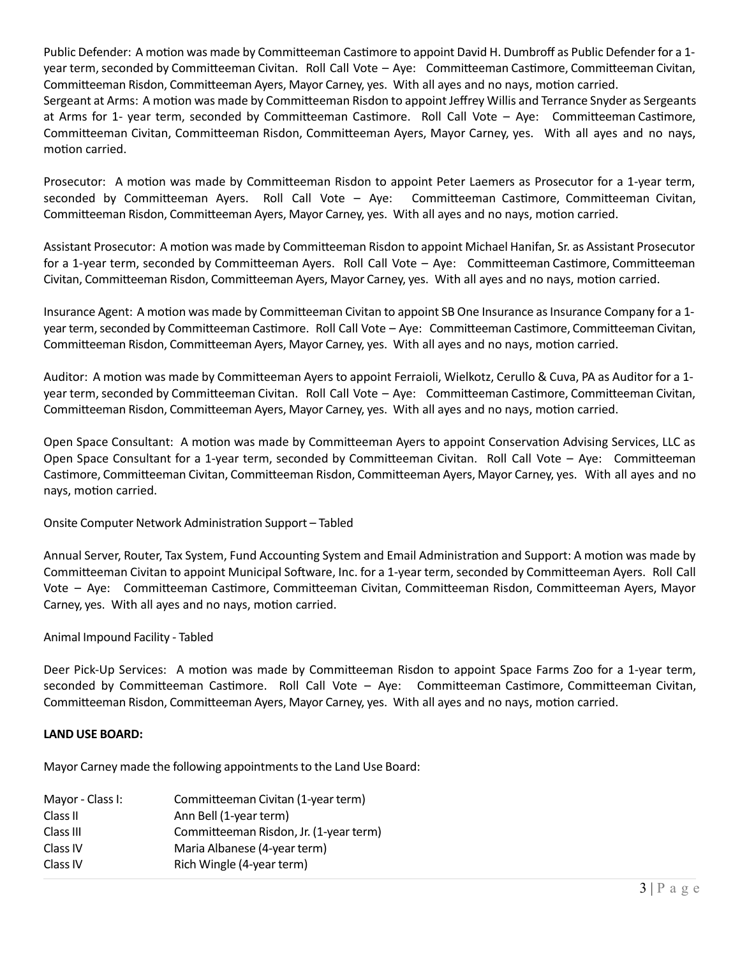Public Defender: A motion was made by Committeeman Castimore to appoint David H. Dumbroff as Public Defender for a 1 year term, seconded by Committeeman Civitan. Roll Call Vote – Aye: Committeeman Castimore, Committeeman Civitan, Committeeman Risdon, Committeeman Ayers, Mayor Carney, yes. With all ayes and no nays, motion carried. Sergeant at Arms: A motion was made by Committeeman Risdon to appoint Jeffrey Willis and Terrance Snyder as Sergeants at Arms for 1- year term, seconded by Committeeman Castimore. Roll Call Vote – Aye: Committeeman Castimore, Committeeman Civitan, Committeeman Risdon, Committeeman Ayers, Mayor Carney, yes. With all ayes and no nays, motion carried.

Prosecutor: A motion was made by Committeeman Risdon to appoint Peter Laemers as Prosecutor for a 1-year term, seconded by Committeeman Ayers. Roll Call Vote – Aye: Committeeman Castimore, Committeeman Civitan, Committeeman Risdon, Committeeman Ayers, Mayor Carney, yes. With all ayes and no nays, motion carried.

Assistant Prosecutor: A motion was made by Committeeman Risdon to appoint Michael Hanifan, Sr. as Assistant Prosecutor for a 1-year term, seconded by Committeeman Ayers. Roll Call Vote – Aye: Committeeman Castimore, Committeeman Civitan, Committeeman Risdon, Committeeman Ayers, Mayor Carney, yes. With all ayes and no nays, motion carried.

Insurance Agent: A motion was made by Committeeman Civitan to appoint SB One Insurance as Insurance Company for a 1 year term, seconded by Committeeman Castimore. Roll Call Vote – Aye: Committeeman Castimore, Committeeman Civitan, Committeeman Risdon, Committeeman Ayers, Mayor Carney, yes. With all ayes and no nays, motion carried.

Auditor: A motion was made by Committeeman Ayers to appoint Ferraioli, Wielkotz, Cerullo & Cuva, PA as Auditor for a 1 year term, seconded by Committeeman Civitan. Roll Call Vote – Aye: Committeeman Castimore, Committeeman Civitan, Committeeman Risdon, Committeeman Ayers, Mayor Carney, yes. With all ayes and no nays, motion carried.

Open Space Consultant: A motion was made by Committeeman Ayers to appoint Conservation Advising Services, LLC as Open Space Consultant for a 1-year term, seconded by Committeeman Civitan. Roll Call Vote – Aye: Committeeman Castimore, Committeeman Civitan, Committeeman Risdon, Committeeman Ayers, Mayor Carney, yes. With all ayes and no nays, motion carried.

## Onsite Computer Network Administration Support – Tabled

Annual Server, Router, Tax System, Fund Accounting System and Email Administration and Support: A motion was made by Committeeman Civitan to appoint Municipal Software, Inc. for a 1-year term, seconded by Committeeman Ayers. Roll Call Vote – Aye: Committeeman Castimore, Committeeman Civitan, Committeeman Risdon, Committeeman Ayers, Mayor Carney, yes. With all ayes and no nays, motion carried.

## Animal Impound Facility - Tabled

Deer Pick-Up Services: A motion was made by Committeeman Risdon to appoint Space Farms Zoo for a 1-year term, seconded by Committeeman Castimore. Roll Call Vote – Aye: Committeeman Castimore, Committeeman Civitan, Committeeman Risdon, Committeeman Ayers, Mayor Carney, yes. With all ayes and no nays, motion carried.

## **LAND USE BOARD:**

Mayor Carney made the following appointments to the Land Use Board:

| Mayor - Class I: | Committeeman Civitan (1-year term)     |
|------------------|----------------------------------------|
| Class II         | Ann Bell (1-year term)                 |
| Class III        | Committeeman Risdon, Jr. (1-year term) |
| Class IV         | Maria Albanese (4-year term)           |
| Class IV         | Rich Wingle (4-year term)              |
|                  |                                        |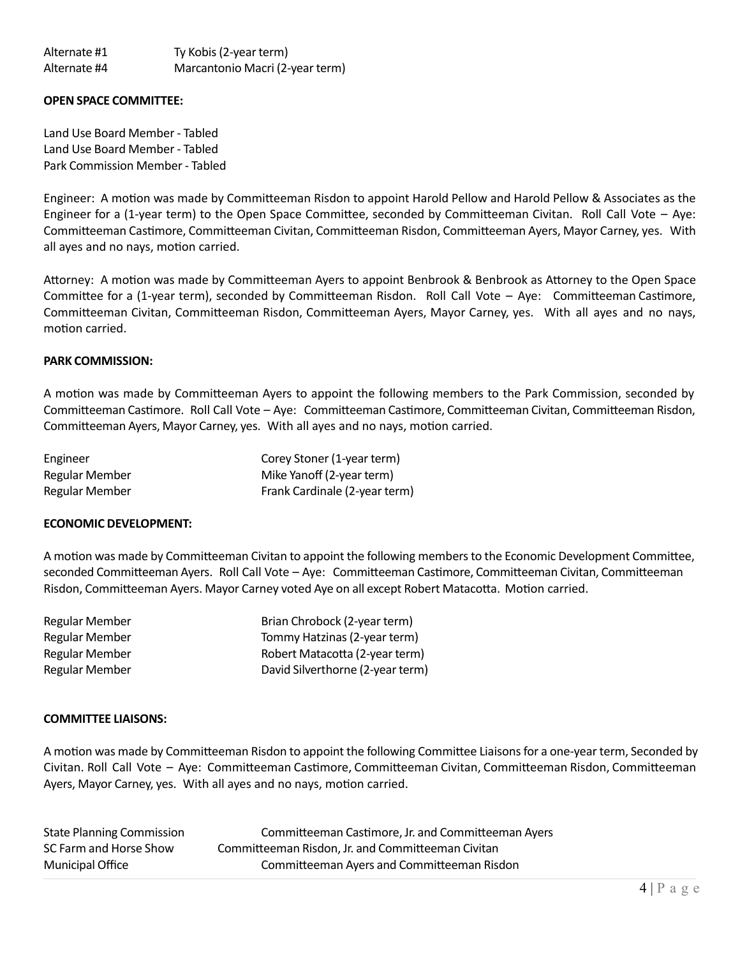#### **OPEN SPACE COMMITTEE:**

Land Use Board Member - Tabled Land Use Board Member - Tabled Park Commission Member - Tabled

Engineer: A motion was made by Committeeman Risdon to appoint Harold Pellow and Harold Pellow & Associates as the Engineer for a (1-year term) to the Open Space Committee, seconded by Committeeman Civitan. Roll Call Vote – Aye: Committeeman Castimore, Committeeman Civitan, Committeeman Risdon, Committeeman Ayers, Mayor Carney, yes. With all ayes and no nays, motion carried.

Attorney: A motion was made by Committeeman Ayers to appoint Benbrook & Benbrook as Attorney to the Open Space Committee for a (1-year term), seconded by Committeeman Risdon. Roll Call Vote – Aye: Committeeman Castimore, Committeeman Civitan, Committeeman Risdon, Committeeman Ayers, Mayor Carney, yes. With all ayes and no nays, motion carried.

#### **PARK COMMISSION:**

A motion was made by Committeeman Ayers to appoint the following members to the Park Commission, seconded by Committeeman Castimore. Roll Call Vote – Aye: Committeeman Castimore, Committeeman Civitan, Committeeman Risdon, Committeeman Ayers, Mayor Carney, yes. With all ayes and no nays, motion carried.

| Engineer       | Corey Stoner (1-year term)    |
|----------------|-------------------------------|
| Regular Member | Mike Yanoff (2-year term)     |
| Regular Member | Frank Cardinale (2-year term) |

#### **ECONOMIC DEVELOPMENT:**

A motion was made by Committeeman Civitan to appoint the following members to the Economic Development Committee, seconded Committeeman Ayers. Roll Call Vote – Aye: Committeeman Castimore, Committeeman Civitan, Committeeman Risdon, Committeeman Ayers. Mayor Carney voted Aye on all except Robert Matacotta. Motion carried.

| Regular Member | Brian Chrobock (2-year term)     |
|----------------|----------------------------------|
| Regular Member | Tommy Hatzinas (2-year term)     |
| Regular Member | Robert Matacotta (2-year term)   |
| Regular Member | David Silverthorne (2-year term) |

#### **COMMITTEE LIAISONS:**

A motion was made by Committeeman Risdon to appoint the following Committee Liaisons for a one-year term, Seconded by Civitan. Roll Call Vote – Aye: Committeeman Castimore, Committeeman Civitan, Committeeman Risdon, Committeeman Ayers, Mayor Carney, yes. With all ayes and no nays, motion carried.

State Planning Commission Committeeman Castimore, Jr. and Committeeman Ayers SC Farm and Horse Show Committeeman Risdon, Jr. and Committeeman Civitan Municipal Office Committeeman Ayers and Committeeman Risdon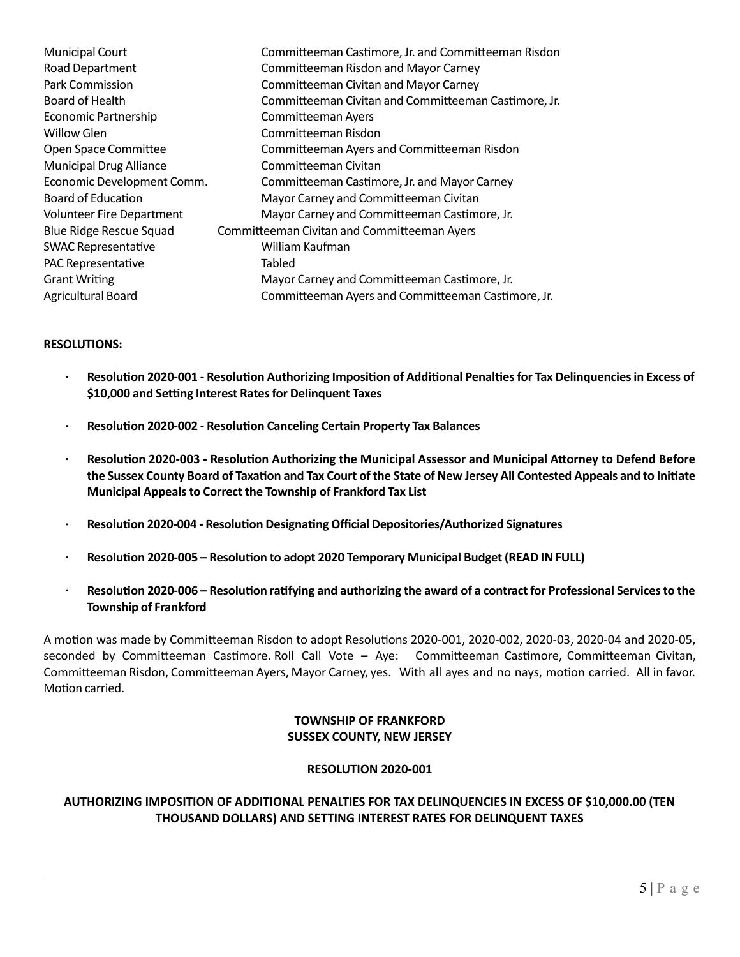| <b>Municipal Court</b>         | Committeeman Castimore, Jr. and Committeeman Risdon  |
|--------------------------------|------------------------------------------------------|
| Road Department                | <b>Committeeman Risdon and Mayor Carney</b>          |
| Park Commission                | <b>Committeeman Civitan and Mayor Carney</b>         |
| Board of Health                | Committeeman Civitan and Committeeman Castimore, Jr. |
| Economic Partnership           | Committeeman Ayers                                   |
| Willow Glen                    | Committeeman Risdon                                  |
| Open Space Committee           | Committeeman Ayers and Committeeman Risdon           |
| <b>Municipal Drug Alliance</b> | Committeeman Civitan                                 |
| Economic Development Comm.     | Committeeman Castimore, Jr. and Mayor Carney         |
| <b>Board of Education</b>      | Mayor Carney and Committeeman Civitan                |
| Volunteer Fire Department      | Mayor Carney and Committeeman Castimore, Jr.         |
| <b>Blue Ridge Rescue Squad</b> | Committeeman Civitan and Committeeman Ayers          |
| <b>SWAC Representative</b>     | William Kaufman                                      |
| PAC Representative             | <b>Tabled</b>                                        |
| <b>Grant Writing</b>           | Mayor Carney and Committeeman Castimore, Jr.         |
| <b>Agricultural Board</b>      | Committeeman Ayers and Committeeman Castimore, Jr.   |
|                                |                                                      |

## **RESOLUTIONS:**

- **Resolution 2020-001 Resolution Authorizing Imposition of Additional Penalties for Tax Delinquencies in Excess of \$10,000 and Setting Interest Rates for Delinquent Taxes**
- **Resolution 2020-002 Resolution Canceling Certain Property Tax Balances**
- **Resolution 2020-003 Resolution Authorizing the Municipal Assessor and Municipal Attorney to Defend Before the Sussex County Board of Taxation and Tax Court of the State of New Jersey All Contested Appeals and to Initiate Municipal Appeals to Correct the Township of Frankford Tax List**
- **Resolution 2020-004 Resolution Designating Official Depositories/Authorized Signatures**
- **Resolution 2020-005 Resolution to adopt 2020 Temporary Municipal Budget (READ IN FULL)**
- **Resolution 2020-006 Resolution ratifying and authorizing the award of a contract for Professional Services to the Township of Frankford**

A motion was made by Committeeman Risdon to adopt Resolutions 2020-001, 2020-002, 2020-03, 2020-04 and 2020-05, seconded by Committeeman Castimore. Roll Call Vote – Aye: Committeeman Castimore, Committeeman Civitan, Committeeman Risdon, Committeeman Ayers, Mayor Carney, yes. With all ayes and no nays, motion carried. All in favor. Motion carried.

## **TOWNSHIP OF FRANKFORD SUSSEX COUNTY, NEW JERSEY**

#### **RESOLUTION 2020-001**

## **AUTHORIZING IMPOSITION OF ADDITIONAL PENALTIES FOR TAX DELINQUENCIES IN EXCESS OF \$10,000.00 (TEN THOUSAND DOLLARS) AND SETTING INTEREST RATES FOR DELINQUENT TAXES**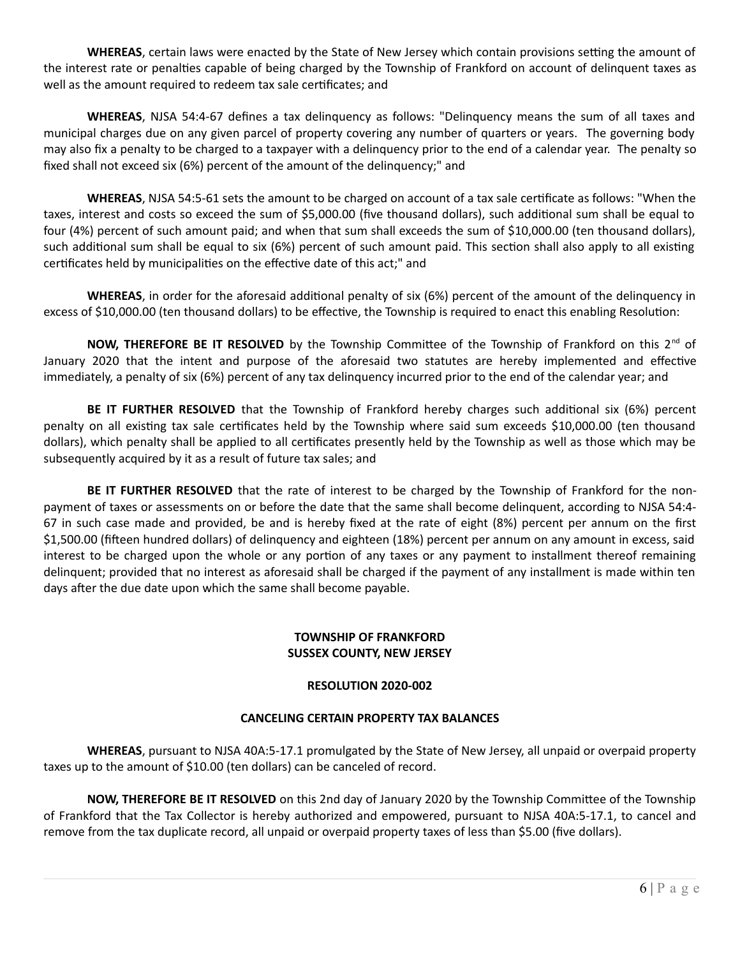**WHEREAS**, certain laws were enacted by the State of New Jersey which contain provisions setting the amount of the interest rate or penalties capable of being charged by the Township of Frankford on account of delinquent taxes as well as the amount required to redeem tax sale certificates; and

**WHEREAS**, NJSA 54:4-67 defines a tax delinquency as follows: "Delinquency means the sum of all taxes and municipal charges due on any given parcel of property covering any number of quarters or years. The governing body may also fix a penalty to be charged to a taxpayer with a delinquency prior to the end of a calendar year. The penalty so fixed shall not exceed six (6%) percent of the amount of the delinquency;" and

**WHEREAS**, NJSA 54:5-61 sets the amount to be charged on account of a tax sale certificate as follows: "When the taxes, interest and costs so exceed the sum of \$5,000.00 (five thousand dollars), such additional sum shall be equal to four (4%) percent of such amount paid; and when that sum shall exceeds the sum of \$10,000.00 (ten thousand dollars), such additional sum shall be equal to six (6%) percent of such amount paid. This section shall also apply to all existing certificates held by municipalities on the effective date of this act;" and

**WHEREAS**, in order for the aforesaid additional penalty of six (6%) percent of the amount of the delinquency in excess of \$10,000.00 (ten thousand dollars) to be effective, the Township is required to enact this enabling Resolution:

**NOW, THEREFORE BE IT RESOLVED** by the Township Committee of the Township of Frankford on this 2<sup>nd</sup> of January 2020 that the intent and purpose of the aforesaid two statutes are hereby implemented and effective immediately, a penalty of six (6%) percent of any tax delinquency incurred prior to the end of the calendar year; and

**BE IT FURTHER RESOLVED** that the Township of Frankford hereby charges such additional six (6%) percent penalty on all existing tax sale certificates held by the Township where said sum exceeds \$10,000.00 (ten thousand dollars), which penalty shall be applied to all certificates presently held by the Township as well as those which may be subsequently acquired by it as a result of future tax sales; and

**BE IT FURTHER RESOLVED** that the rate of interest to be charged by the Township of Frankford for the nonpayment of taxes or assessments on or before the date that the same shall become delinquent, according to NJSA 54:4- 67 in such case made and provided, be and is hereby fixed at the rate of eight (8%) percent per annum on the first \$1,500.00 (fifteen hundred dollars) of delinquency and eighteen (18%) percent per annum on any amount in excess, said interest to be charged upon the whole or any portion of any taxes or any payment to installment thereof remaining delinquent; provided that no interest as aforesaid shall be charged if the payment of any installment is made within ten days after the due date upon which the same shall become payable.

## **TOWNSHIP OF FRANKFORD SUSSEX COUNTY, NEW JERSEY**

# **RESOLUTION 2020-002**

# **CANCELING CERTAIN PROPERTY TAX BALANCES**

**WHEREAS**, pursuant to NJSA 40A:5-17.1 promulgated by the State of New Jersey, all unpaid or overpaid property taxes up to the amount of \$10.00 (ten dollars) can be canceled of record.

**NOW, THEREFORE BE IT RESOLVED** on this 2nd day of January 2020 by the Township Committee of the Township of Frankford that the Tax Collector is hereby authorized and empowered, pursuant to NJSA 40A:5-17.1, to cancel and remove from the tax duplicate record, all unpaid or overpaid property taxes of less than \$5.00 (five dollars).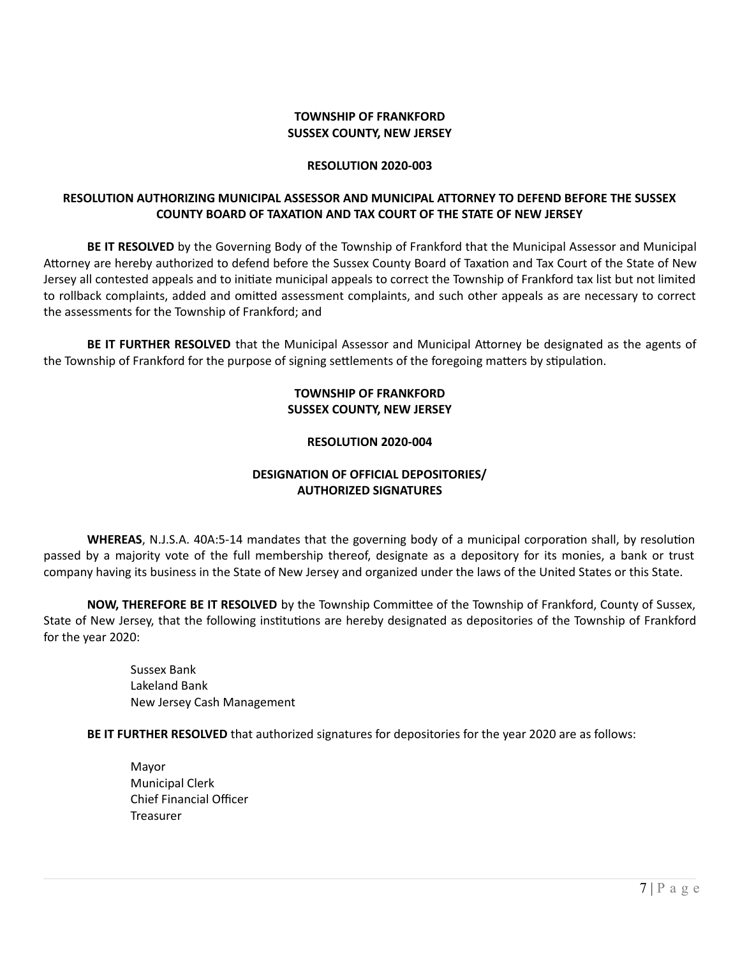## **TOWNSHIP OF FRANKFORD SUSSEX COUNTY, NEW JERSEY**

## **RESOLUTION 2020-003**

## **RESOLUTION AUTHORIZING MUNICIPAL ASSESSOR AND MUNICIPAL ATTORNEY TO DEFEND BEFORE THE SUSSEX COUNTY BOARD OF TAXATION AND TAX COURT OF THE STATE OF NEW JERSEY**

**BE IT RESOLVED** by the Governing Body of the Township of Frankford that the Municipal Assessor and Municipal Attorney are hereby authorized to defend before the Sussex County Board of Taxation and Tax Court of the State of New Jersey all contested appeals and to initiate municipal appeals to correct the Township of Frankford tax list but not limited to rollback complaints, added and omitted assessment complaints, and such other appeals as are necessary to correct the assessments for the Township of Frankford; and

**BE IT FURTHER RESOLVED** that the Municipal Assessor and Municipal Attorney be designated as the agents of the Township of Frankford for the purpose of signing settlements of the foregoing matters by stipulation.

# **TOWNSHIP OF FRANKFORD SUSSEX COUNTY, NEW JERSEY**

## **RESOLUTION 2020-004**

# **DESIGNATION OF OFFICIAL DEPOSITORIES/ AUTHORIZED SIGNATURES**

**WHEREAS**, N.J.S.A. 40A:5-14 mandates that the governing body of a municipal corporation shall, by resolution passed by a majority vote of the full membership thereof, designate as a depository for its monies, a bank or trust company having its business in the State of New Jersey and organized under the laws of the United States or this State.

**NOW, THEREFORE BE IT RESOLVED** by the Township Committee of the Township of Frankford, County of Sussex, State of New Jersey, that the following institutions are hereby designated as depositories of the Township of Frankford for the year 2020:

> Sussex Bank Lakeland Bank New Jersey Cash Management

**BE IT FURTHER RESOLVED** that authorized signatures for depositories for the year 2020 are as follows:

Mayor Municipal Clerk Chief Financial Officer **Treasurer**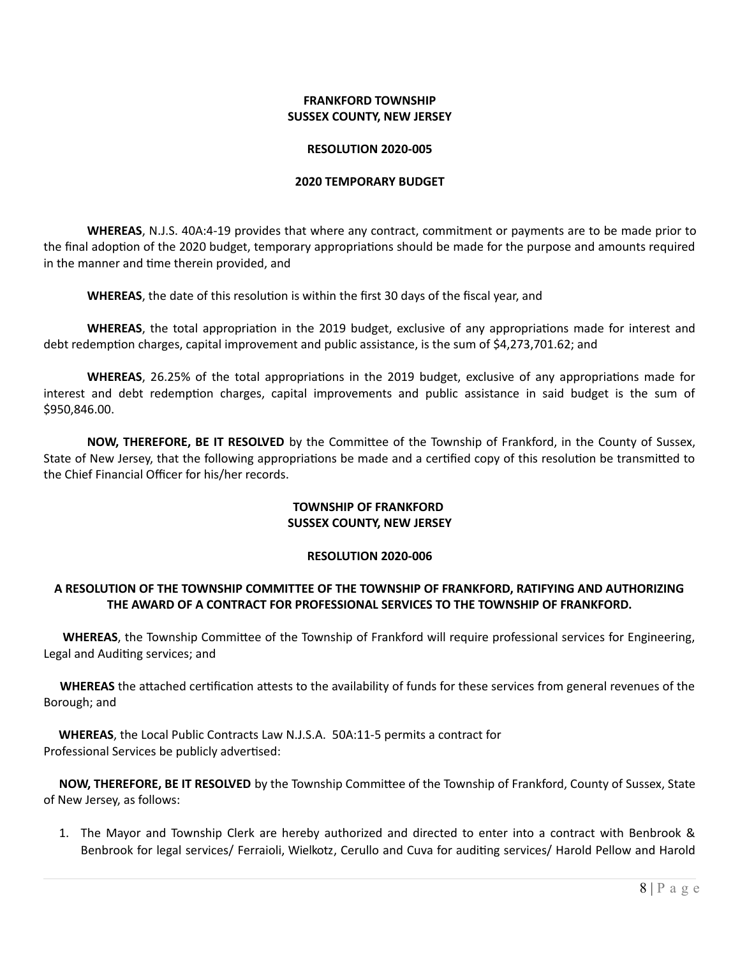## **FRANKFORD TOWNSHIP SUSSEX COUNTY, NEW JERSEY**

#### **RESOLUTION 2020-005**

#### **2020 TEMPORARY BUDGET**

**WHEREAS**, N.J.S. 40A:4-19 provides that where any contract, commitment or payments are to be made prior to the final adoption of the 2020 budget, temporary appropriations should be made for the purpose and amounts required in the manner and time therein provided, and

**WHEREAS**, the date of this resolution is within the first 30 days of the fiscal year, and

**WHEREAS**, the total appropriation in the 2019 budget, exclusive of any appropriations made for interest and debt redemption charges, capital improvement and public assistance, is the sum of \$4,273,701.62; and

**WHEREAS**, 26.25% of the total appropriations in the 2019 budget, exclusive of any appropriations made for interest and debt redemption charges, capital improvements and public assistance in said budget is the sum of \$950,846.00.

**NOW, THEREFORE, BE IT RESOLVED** by the Committee of the Township of Frankford, in the County of Sussex, State of New Jersey, that the following appropriations be made and a certified copy of this resolution be transmitted to the Chief Financial Officer for his/her records.

## **TOWNSHIP OF FRANKFORD SUSSEX COUNTY, NEW JERSEY**

## **RESOLUTION 2020-006**

## **A RESOLUTION OF THE TOWNSHIP COMMITTEE OF THE TOWNSHIP OF FRANKFORD, RATIFYING AND AUTHORIZING THE AWARD OF A CONTRACT FOR PROFESSIONAL SERVICES TO THE TOWNSHIP OF FRANKFORD.**

 **WHEREAS**, the Township Committee of the Township of Frankford will require professional services for Engineering, Legal and Auditing services; and

 **WHEREAS** the attached certification attests to the availability of funds for these services from general revenues of the Borough; and

 **WHEREAS**, the Local Public Contracts Law N.J.S.A. 50A:11-5 permits a contract for Professional Services be publicly advertised:

 **NOW, THEREFORE, BE IT RESOLVED** by the Township Committee of the Township of Frankford, County of Sussex, State of New Jersey, as follows:

1. The Mayor and Township Clerk are hereby authorized and directed to enter into a contract with Benbrook & Benbrook for legal services/ Ferraioli, Wielkotz, Cerullo and Cuva for auditing services/ Harold Pellow and Harold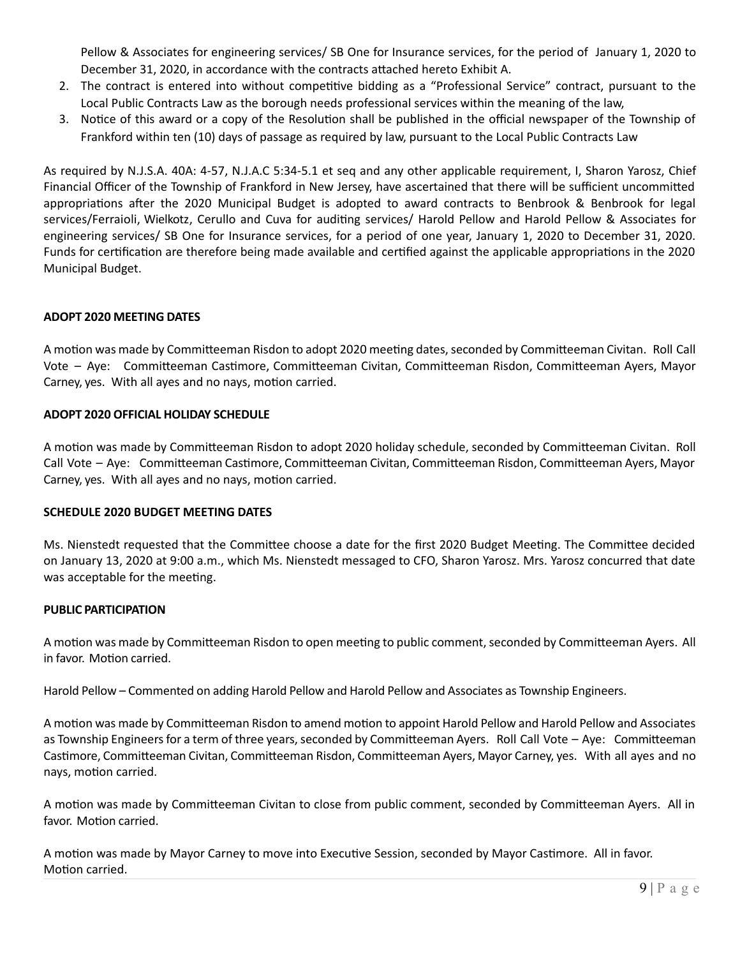Pellow & Associates for engineering services/ SB One for Insurance services, for the period of January 1, 2020 to December 31, 2020, in accordance with the contracts attached hereto Exhibit A.

- 2. The contract is entered into without competitive bidding as a "Professional Service" contract, pursuant to the Local Public Contracts Law as the borough needs professional services within the meaning of the law,
- 3. Notice of this award or a copy of the Resolution shall be published in the official newspaper of the Township of Frankford within ten (10) days of passage as required by law, pursuant to the Local Public Contracts Law

As required by N.J.S.A. 40A: 4-57, N.J.A.C 5:34-5.1 et seq and any other applicable requirement, I, Sharon Yarosz, Chief Financial Officer of the Township of Frankford in New Jersey, have ascertained that there will be sufficient uncommitted appropriations after the 2020 Municipal Budget is adopted to award contracts to Benbrook & Benbrook for legal services/Ferraioli, Wielkotz, Cerullo and Cuva for auditing services/ Harold Pellow and Harold Pellow & Associates for engineering services/ SB One for Insurance services, for a period of one year, January 1, 2020 to December 31, 2020. Funds for certification are therefore being made available and certified against the applicable appropriations in the 2020 Municipal Budget.

# **ADOPT 2020 MEETING DATES**

A motion was made by Committeeman Risdon to adopt 2020 meeting dates, seconded by Committeeman Civitan. Roll Call Vote – Aye: Committeeman Castimore, Committeeman Civitan, Committeeman Risdon, Committeeman Ayers, Mayor Carney, yes. With all ayes and no nays, motion carried.

## **ADOPT 2020 OFFICIAL HOLIDAY SCHEDULE**

A motion was made by Committeeman Risdon to adopt 2020 holiday schedule, seconded by Committeeman Civitan. Roll Call Vote – Aye: Committeeman Castimore, Committeeman Civitan, Committeeman Risdon, Committeeman Ayers, Mayor Carney, yes. With all ayes and no nays, motion carried.

## **SCHEDULE 2020 BUDGET MEETING DATES**

Ms. Nienstedt requested that the Committee choose a date for the first 2020 Budget Meeting. The Committee decided on January 13, 2020 at 9:00 a.m., which Ms. Nienstedt messaged to CFO, Sharon Yarosz. Mrs. Yarosz concurred that date was acceptable for the meeting.

## **PUBLIC PARTICIPATION**

A motion was made by Committeeman Risdon to open meeting to public comment, seconded by Committeeman Ayers. All in favor. Motion carried.

Harold Pellow – Commented on adding Harold Pellow and Harold Pellow and Associates as Township Engineers.

A motion was made by Committeeman Risdon to amend motion to appoint Harold Pellow and Harold Pellow and Associates as Township Engineers for a term of three years, seconded by Committeeman Ayers. Roll Call Vote – Aye: Committeeman Castimore, Committeeman Civitan, Committeeman Risdon, Committeeman Ayers, Mayor Carney, yes. With all ayes and no nays, motion carried.

A motion was made by Committeeman Civitan to close from public comment, seconded by Committeeman Ayers. All in favor. Motion carried.

A motion was made by Mayor Carney to move into Executive Session, seconded by Mayor Castimore. All in favor. Motion carried.